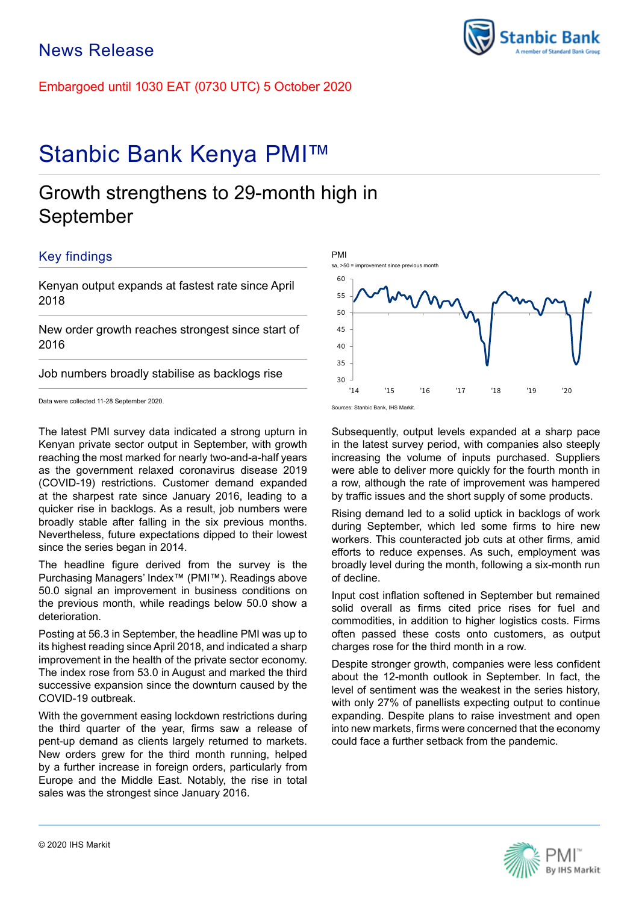Embargoed until 1030 EAT (0730 UTC) 5 October 2020

# Stanbic Bank Kenya PMI™

## Growth strengthens to 29-month high in September

## Key findings

Kenyan output expands at fastest rate since April 2018

New order growth reaches strongest since start of 2016

Job numbers broadly stabilise as backlogs rise

Data were collected 11-28 September 2020.

The latest PMI survey data indicated a strong upturn in Kenyan private sector output in September, with growth reaching the most marked for nearly two-and-a-half years as the government relaxed coronavirus disease 2019 (COVID-19) restrictions. Customer demand expanded at the sharpest rate since January 2016, leading to a quicker rise in backlogs. As a result, job numbers were broadly stable after falling in the six previous months. Nevertheless, future expectations dipped to their lowest since the series began in 2014.

The headline figure derived from the survey is the Purchasing Managers' Index™ (PMI™). Readings above 50.0 signal an improvement in business conditions on the previous month, while readings below 50.0 show a deterioration.

Posting at 56.3 in September, the headline PMI was up to its highest reading since April 2018, and indicated a sharp improvement in the health of the private sector economy. The index rose from 53.0 in August and marked the third successive expansion since the downturn caused by the COVID-19 outbreak.

With the government easing lockdown restrictions during the third quarter of the year, firms saw a release of pent-up demand as clients largely returned to markets. New orders grew for the third month running, helped by a further increase in foreign orders, particularly from Europe and the Middle East. Notably, the rise in total sales was the strongest since January 2016.



60

sa, >50 = improvement since previous month

PMI

in the latest survey period, with companies also steeply increasing the volume of inputs purchased. Suppliers were able to deliver more quickly for the fourth month in a row, although the rate of improvement was hampered by traffic issues and the short supply of some products.

Rising demand led to a solid uptick in backlogs of work during September, which led some firms to hire new workers. This counteracted job cuts at other firms, amid efforts to reduce expenses. As such, employment was broadly level during the month, following a six-month run of decline.

Input cost inflation softened in September but remained solid overall as firms cited price rises for fuel and commodities, in addition to higher logistics costs. Firms often passed these costs onto customers, as output charges rose for the third month in a row.

Despite stronger growth, companies were less confident about the 12-month outlook in September. In fact, the level of sentiment was the weakest in the series history, with only 27% of panellists expecting output to continue expanding. Despite plans to raise investment and open into new markets, firms were concerned that the economy could face a further setback from the pandemic.